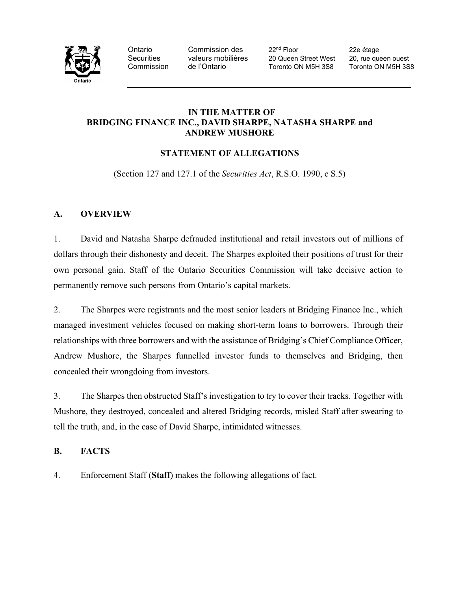

Ontario Commission des 22<sup>nd</sup> Floor 22e étage<br>
Securities valeurs mobilières 20 Queen Street West 20, rue que valeurs mobilières 20 Queen Street West 20, rue queen ouest Commission de l'Ontario Toronto ON M5H 3S8 Toronto ON M5H 3S8

## **IN THE MATTER OF BRIDGING FINANCE INC., DAVID SHARPE, NATASHA SHARPE and ANDREW MUSHORE**

# **STATEMENT OF ALLEGATIONS**

(Section 127 and 127.1 of the *Securities Act*, R.S.O. 1990, c S.5)

# **A. OVERVIEW**

1. David and Natasha Sharpe defrauded institutional and retail investors out of millions of dollars through their dishonesty and deceit. The Sharpes exploited their positions of trust for their own personal gain. Staff of the Ontario Securities Commission will take decisive action to permanently remove such persons from Ontario's capital markets.

2. The Sharpes were registrants and the most senior leaders at Bridging Finance Inc., which managed investment vehicles focused on making short-term loans to borrowers. Through their relationships with three borrowers and with the assistance of Bridging's Chief Compliance Officer, Andrew Mushore, the Sharpes funnelled investor funds to themselves and Bridging, then concealed their wrongdoing from investors.

3. The Sharpes then obstructed Staff's investigation to try to cover their tracks. Together with Mushore, they destroyed, concealed and altered Bridging records, misled Staff after swearing to tell the truth, and, in the case of David Sharpe, intimidated witnesses.

# **B. FACTS**

4. Enforcement Staff (**Staff**) makes the following allegations of fact.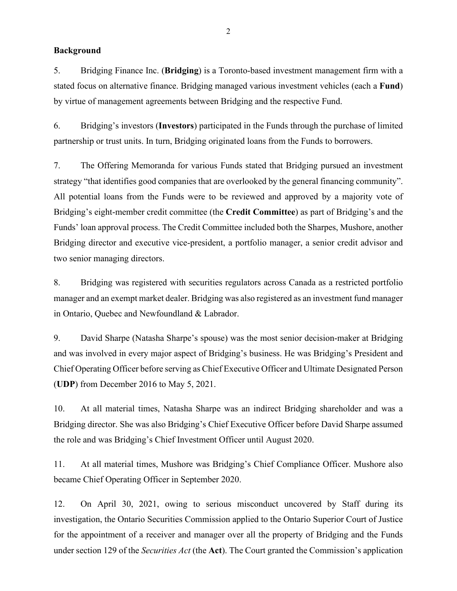### **Background**

5. Bridging Finance Inc. (**Bridging**) is a Toronto-based investment management firm with a stated focus on alternative finance. Bridging managed various investment vehicles (each a **Fund**) by virtue of management agreements between Bridging and the respective Fund.

6. Bridging's investors (**Investors**) participated in the Funds through the purchase of limited partnership or trust units. In turn, Bridging originated loans from the Funds to borrowers.

7. The Offering Memoranda for various Funds stated that Bridging pursued an investment strategy "that identifies good companies that are overlooked by the general financing community". All potential loans from the Funds were to be reviewed and approved by a majority vote of Bridging's eight-member credit committee (the **Credit Committee**) as part of Bridging's and the Funds' loan approval process. The Credit Committee included both the Sharpes, Mushore, another Bridging director and executive vice-president, a portfolio manager, a senior credit advisor and two senior managing directors.

8. Bridging was registered with securities regulators across Canada as a restricted portfolio manager and an exempt market dealer. Bridging was also registered as an investment fund manager in Ontario, Quebec and Newfoundland & Labrador.

9. David Sharpe (Natasha Sharpe's spouse) was the most senior decision-maker at Bridging and was involved in every major aspect of Bridging's business. He was Bridging's President and Chief Operating Officer before serving as Chief Executive Officer and Ultimate Designated Person (**UDP**) from December 2016 to May 5, 2021.

10. At all material times, Natasha Sharpe was an indirect Bridging shareholder and was a Bridging director. She was also Bridging's Chief Executive Officer before David Sharpe assumed the role and was Bridging's Chief Investment Officer until August 2020.

11. At all material times, Mushore was Bridging's Chief Compliance Officer. Mushore also became Chief Operating Officer in September 2020.

12. On April 30, 2021, owing to serious misconduct uncovered by Staff during its investigation, the Ontario Securities Commission applied to the Ontario Superior Court of Justice for the appointment of a receiver and manager over all the property of Bridging and the Funds under section 129 of the *Securities Act* (the **Act**). The Court granted the Commission's application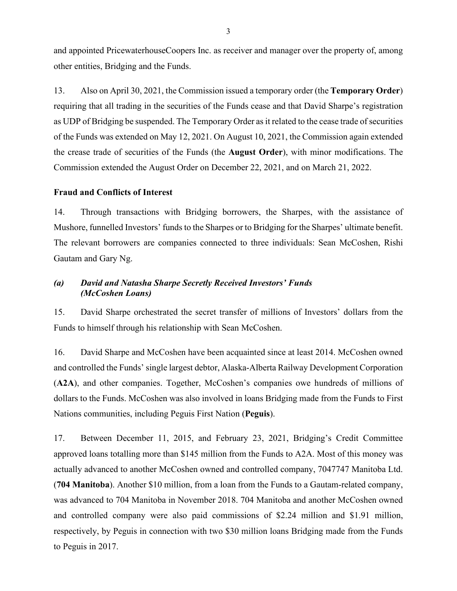and appointed PricewaterhouseCoopers Inc. as receiver and manager over the property of, among other entities, Bridging and the Funds.

13. Also on April 30, 2021, the Commission issued a temporary order (the **Temporary Order**) requiring that all trading in the securities of the Funds cease and that David Sharpe's registration as UDP of Bridging be suspended. The Temporary Order as it related to the cease trade of securities of the Funds was extended on May 12, 2021. On August 10, 2021, the Commission again extended the crease trade of securities of the Funds (the **August Order**), with minor modifications. The Commission extended the August Order on December 22, 2021, and on March 21, 2022.

### **Fraud and Conflicts of Interest**

14. Through transactions with Bridging borrowers, the Sharpes, with the assistance of Mushore, funnelled Investors' funds to the Sharpes or to Bridging for the Sharpes' ultimate benefit. The relevant borrowers are companies connected to three individuals: Sean McCoshen, Rishi Gautam and Gary Ng.

## *(a) David and Natasha Sharpe Secretly Received Investors' Funds (McCoshen Loans)*

15. David Sharpe orchestrated the secret transfer of millions of Investors' dollars from the Funds to himself through his relationship with Sean McCoshen.

16. David Sharpe and McCoshen have been acquainted since at least 2014. McCoshen owned and controlled the Funds' single largest debtor, Alaska-Alberta Railway Development Corporation (**A2A**), and other companies. Together, McCoshen's companies owe hundreds of millions of dollars to the Funds. McCoshen was also involved in loans Bridging made from the Funds to First Nations communities, including Peguis First Nation (**Peguis**).

17. Between December 11, 2015, and February 23, 2021, Bridging's Credit Committee approved loans totalling more than \$145 million from the Funds to A2A. Most of this money was actually advanced to another McCoshen owned and controlled company, 7047747 Manitoba Ltd. (**704 Manitoba**). Another \$10 million, from a loan from the Funds to a Gautam-related company, was advanced to 704 Manitoba in November 2018. 704 Manitoba and another McCoshen owned and controlled company were also paid commissions of \$2.24 million and \$1.91 million, respectively, by Peguis in connection with two \$30 million loans Bridging made from the Funds to Peguis in 2017.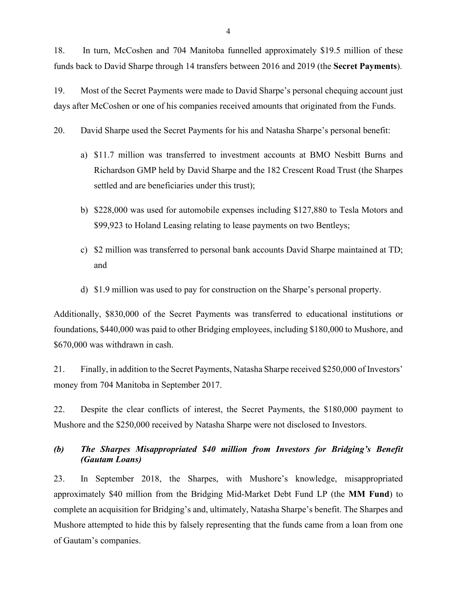18. In turn, McCoshen and 704 Manitoba funnelled approximately \$19.5 million of these funds back to David Sharpe through 14 transfers between 2016 and 2019 (the **Secret Payments**).

19. Most of the Secret Payments were made to David Sharpe's personal chequing account just days after McCoshen or one of his companies received amounts that originated from the Funds.

20. David Sharpe used the Secret Payments for his and Natasha Sharpe's personal benefit:

- a) \$11.7 million was transferred to investment accounts at BMO Nesbitt Burns and Richardson GMP held by David Sharpe and the 182 Crescent Road Trust (the Sharpes settled and are beneficiaries under this trust);
- b) \$228,000 was used for automobile expenses including \$127,880 to Tesla Motors and \$99,923 to Holand Leasing relating to lease payments on two Bentleys;
- c) \$2 million was transferred to personal bank accounts David Sharpe maintained at TD; and
- d) \$1.9 million was used to pay for construction on the Sharpe's personal property.

Additionally, \$830,000 of the Secret Payments was transferred to educational institutions or foundations, \$440,000 was paid to other Bridging employees, including \$180,000 to Mushore, and \$670,000 was withdrawn in cash.

21. Finally, in addition to the Secret Payments, Natasha Sharpe received \$250,000 of Investors' money from 704 Manitoba in September 2017.

22. Despite the clear conflicts of interest, the Secret Payments, the \$180,000 payment to Mushore and the \$250,000 received by Natasha Sharpe were not disclosed to Investors.

*(b) The Sharpes Misappropriated \$40 million from Investors for Bridging's Benefit (Gautam Loans)*

23. In September 2018, the Sharpes, with Mushore's knowledge, misappropriated approximately \$40 million from the Bridging Mid-Market Debt Fund LP (the **MM Fund**) to complete an acquisition for Bridging's and, ultimately, Natasha Sharpe's benefit. The Sharpes and Mushore attempted to hide this by falsely representing that the funds came from a loan from one of Gautam's companies.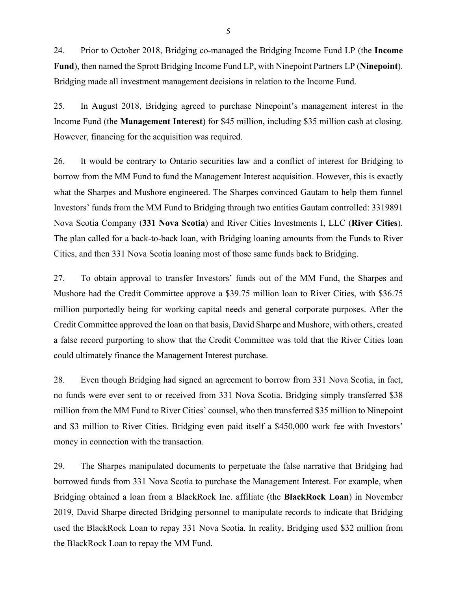24. Prior to October 2018, Bridging co-managed the Bridging Income Fund LP (the **Income Fund**), then named the Sprott Bridging Income Fund LP, with Ninepoint Partners LP (**Ninepoint**). Bridging made all investment management decisions in relation to the Income Fund.

25. In August 2018, Bridging agreed to purchase Ninepoint's management interest in the Income Fund (the **Management Interest**) for \$45 million, including \$35 million cash at closing. However, financing for the acquisition was required.

26. It would be contrary to Ontario securities law and a conflict of interest for Bridging to borrow from the MM Fund to fund the Management Interest acquisition. However, this is exactly what the Sharpes and Mushore engineered. The Sharpes convinced Gautam to help them funnel Investors' funds from the MM Fund to Bridging through two entities Gautam controlled: 3319891 Nova Scotia Company (**331 Nova Scotia**) and River Cities Investments I, LLC (**River Cities**). The plan called for a back-to-back loan, with Bridging loaning amounts from the Funds to River Cities, and then 331 Nova Scotia loaning most of those same funds back to Bridging.

27. To obtain approval to transfer Investors' funds out of the MM Fund, the Sharpes and Mushore had the Credit Committee approve a \$39.75 million loan to River Cities, with \$36.75 million purportedly being for working capital needs and general corporate purposes. After the Credit Committee approved the loan on that basis, David Sharpe and Mushore, with others, created a false record purporting to show that the Credit Committee was told that the River Cities loan could ultimately finance the Management Interest purchase.

28. Even though Bridging had signed an agreement to borrow from 331 Nova Scotia, in fact, no funds were ever sent to or received from 331 Nova Scotia. Bridging simply transferred \$38 million from the MM Fund to River Cities' counsel, who then transferred \$35 million to Ninepoint and \$3 million to River Cities. Bridging even paid itself a \$450,000 work fee with Investors' money in connection with the transaction.

29. The Sharpes manipulated documents to perpetuate the false narrative that Bridging had borrowed funds from 331 Nova Scotia to purchase the Management Interest. For example, when Bridging obtained a loan from a BlackRock Inc. affiliate (the **BlackRock Loan**) in November 2019, David Sharpe directed Bridging personnel to manipulate records to indicate that Bridging used the BlackRock Loan to repay 331 Nova Scotia. In reality, Bridging used \$32 million from the BlackRock Loan to repay the MM Fund.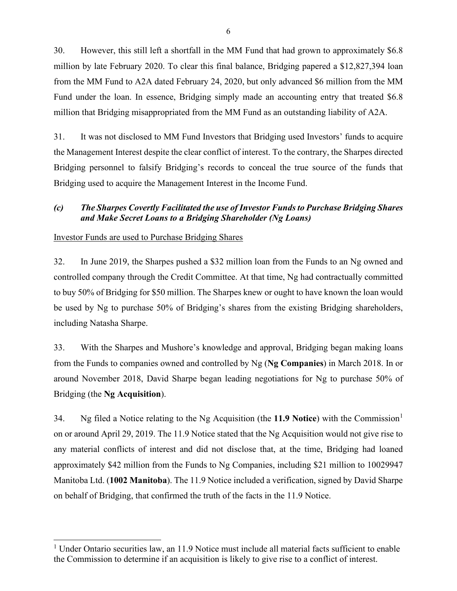30. However, this still left a shortfall in the MM Fund that had grown to approximately \$6.8 million by late February 2020. To clear this final balance, Bridging papered a \$12,827,394 loan from the MM Fund to A2A dated February 24, 2020, but only advanced \$6 million from the MM Fund under the loan. In essence, Bridging simply made an accounting entry that treated \$6.8 million that Bridging misappropriated from the MM Fund as an outstanding liability of A2A.

31. It was not disclosed to MM Fund Investors that Bridging used Investors' funds to acquire the Management Interest despite the clear conflict of interest. To the contrary, the Sharpes directed Bridging personnel to falsify Bridging's records to conceal the true source of the funds that Bridging used to acquire the Management Interest in the Income Fund.

# *(c) The Sharpes Covertly Facilitated the use of Investor Funds to Purchase Bridging Shares and Make Secret Loans to a Bridging Shareholder (Ng Loans)*

### Investor Funds are used to Purchase Bridging Shares

32. In June 2019, the Sharpes pushed a \$32 million loan from the Funds to an Ng owned and controlled company through the Credit Committee. At that time, Ng had contractually committed to buy 50% of Bridging for \$50 million. The Sharpes knew or ought to have known the loan would be used by Ng to purchase 50% of Bridging's shares from the existing Bridging shareholders, including Natasha Sharpe.

33. With the Sharpes and Mushore's knowledge and approval, Bridging began making loans from the Funds to companies owned and controlled by Ng (**Ng Companies**) in March 2018. In or around November 2018, David Sharpe began leading negotiations for Ng to purchase 50% of Bridging (the **Ng Acquisition**).

34. Ng filed a Notice relating to the Ng Acquisition (the **11.9 Notice**) with the Commission[1](#page-5-0) on or around April 29, 2019. The 11.9 Notice stated that the Ng Acquisition would not give rise to any material conflicts of interest and did not disclose that, at the time, Bridging had loaned approximately \$42 million from the Funds to Ng Companies, including \$21 million to 10029947 Manitoba Ltd. (**1002 Manitoba**). The 11.9 Notice included a verification, signed by David Sharpe on behalf of Bridging, that confirmed the truth of the facts in the 11.9 Notice.

<span id="page-5-0"></span><sup>&</sup>lt;sup>1</sup> Under Ontario securities law, an 11.9 Notice must include all material facts sufficient to enable the Commission to determine if an acquisition is likely to give rise to a conflict of interest.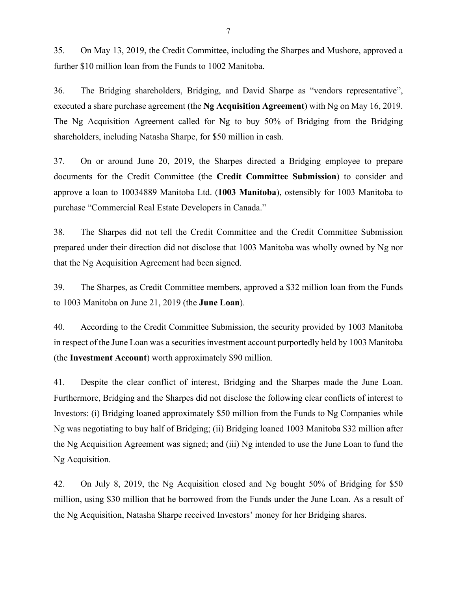35. On May 13, 2019, the Credit Committee, including the Sharpes and Mushore, approved a further \$10 million loan from the Funds to 1002 Manitoba.

36. The Bridging shareholders, Bridging, and David Sharpe as "vendors representative", executed a share purchase agreement (the **Ng Acquisition Agreement**) with Ng on May 16, 2019. The Ng Acquisition Agreement called for Ng to buy 50% of Bridging from the Bridging shareholders, including Natasha Sharpe, for \$50 million in cash.

37. On or around June 20, 2019, the Sharpes directed a Bridging employee to prepare documents for the Credit Committee (the **Credit Committee Submission**) to consider and approve a loan to 10034889 Manitoba Ltd. (**1003 Manitoba**), ostensibly for 1003 Manitoba to purchase "Commercial Real Estate Developers in Canada."

38. The Sharpes did not tell the Credit Committee and the Credit Committee Submission prepared under their direction did not disclose that 1003 Manitoba was wholly owned by Ng nor that the Ng Acquisition Agreement had been signed.

39. The Sharpes, as Credit Committee members, approved a \$32 million loan from the Funds to 1003 Manitoba on June 21, 2019 (the **June Loan**).

40. According to the Credit Committee Submission, the security provided by 1003 Manitoba in respect of the June Loan was a securities investment account purportedly held by 1003 Manitoba (the **Investment Account**) worth approximately \$90 million.

41. Despite the clear conflict of interest, Bridging and the Sharpes made the June Loan. Furthermore, Bridging and the Sharpes did not disclose the following clear conflicts of interest to Investors: (i) Bridging loaned approximately \$50 million from the Funds to Ng Companies while Ng was negotiating to buy half of Bridging; (ii) Bridging loaned 1003 Manitoba \$32 million after the Ng Acquisition Agreement was signed; and (iii) Ng intended to use the June Loan to fund the Ng Acquisition.

42. On July 8, 2019, the Ng Acquisition closed and Ng bought 50% of Bridging for \$50 million, using \$30 million that he borrowed from the Funds under the June Loan. As a result of the Ng Acquisition, Natasha Sharpe received Investors' money for her Bridging shares.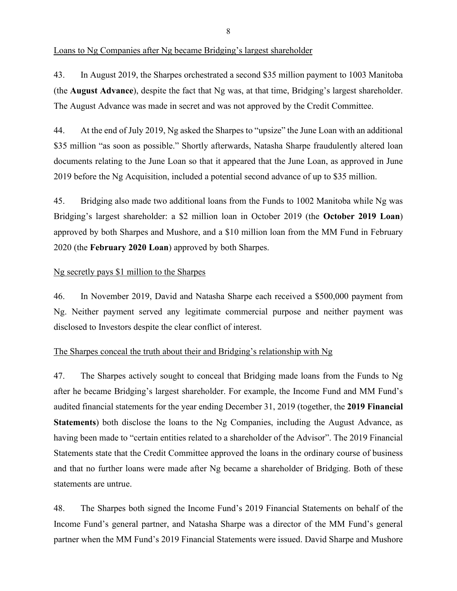#### Loans to Ng Companies after Ng became Bridging's largest shareholder

43. In August 2019, the Sharpes orchestrated a second \$35 million payment to 1003 Manitoba (the **August Advance**), despite the fact that Ng was, at that time, Bridging's largest shareholder. The August Advance was made in secret and was not approved by the Credit Committee.

44. At the end of July 2019, Ng asked the Sharpes to "upsize" the June Loan with an additional \$35 million "as soon as possible." Shortly afterwards, Natasha Sharpe fraudulently altered loan documents relating to the June Loan so that it appeared that the June Loan, as approved in June 2019 before the Ng Acquisition, included a potential second advance of up to \$35 million.

45. Bridging also made two additional loans from the Funds to 1002 Manitoba while Ng was Bridging's largest shareholder: a \$2 million loan in October 2019 (the **October 2019 Loan**) approved by both Sharpes and Mushore, and a \$10 million loan from the MM Fund in February 2020 (the **February 2020 Loan**) approved by both Sharpes.

#### Ng secretly pays \$1 million to the Sharpes

46. In November 2019, David and Natasha Sharpe each received a \$500,000 payment from Ng. Neither payment served any legitimate commercial purpose and neither payment was disclosed to Investors despite the clear conflict of interest.

#### The Sharpes conceal the truth about their and Bridging's relationship with Ng

47. The Sharpes actively sought to conceal that Bridging made loans from the Funds to Ng after he became Bridging's largest shareholder. For example, the Income Fund and MM Fund's audited financial statements for the year ending December 31, 2019 (together, the **2019 Financial Statements**) both disclose the loans to the Ng Companies, including the August Advance, as having been made to "certain entities related to a shareholder of the Advisor". The 2019 Financial Statements state that the Credit Committee approved the loans in the ordinary course of business and that no further loans were made after Ng became a shareholder of Bridging. Both of these statements are untrue.

48. The Sharpes both signed the Income Fund's 2019 Financial Statements on behalf of the Income Fund's general partner, and Natasha Sharpe was a director of the MM Fund's general partner when the MM Fund's 2019 Financial Statements were issued. David Sharpe and Mushore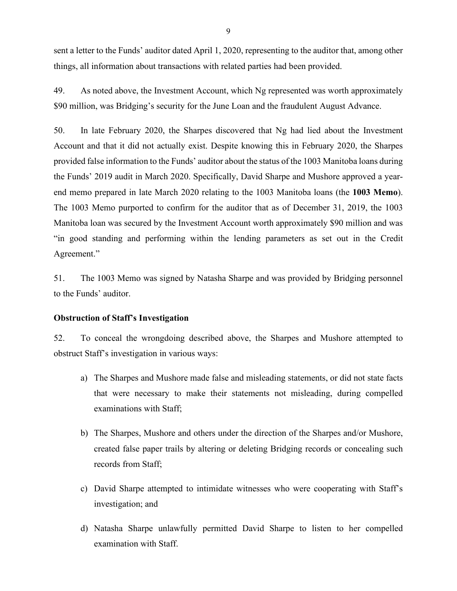sent a letter to the Funds' auditor dated April 1, 2020, representing to the auditor that, among other things, all information about transactions with related parties had been provided.

49. As noted above, the Investment Account, which Ng represented was worth approximately \$90 million, was Bridging's security for the June Loan and the fraudulent August Advance.

50. In late February 2020, the Sharpes discovered that Ng had lied about the Investment Account and that it did not actually exist. Despite knowing this in February 2020, the Sharpes provided false information to the Funds' auditor about the status of the 1003 Manitoba loans during the Funds' 2019 audit in March 2020. Specifically, David Sharpe and Mushore approved a yearend memo prepared in late March 2020 relating to the 1003 Manitoba loans (the **1003 Memo**). The 1003 Memo purported to confirm for the auditor that as of December 31, 2019, the 1003 Manitoba loan was secured by the Investment Account worth approximately \$90 million and was "in good standing and performing within the lending parameters as set out in the Credit Agreement."

51. The 1003 Memo was signed by Natasha Sharpe and was provided by Bridging personnel to the Funds' auditor.

#### **Obstruction of Staff's Investigation**

52. To conceal the wrongdoing described above, the Sharpes and Mushore attempted to obstruct Staff's investigation in various ways:

- a) The Sharpes and Mushore made false and misleading statements, or did not state facts that were necessary to make their statements not misleading, during compelled examinations with Staff;
- b) The Sharpes, Mushore and others under the direction of the Sharpes and/or Mushore, created false paper trails by altering or deleting Bridging records or concealing such records from Staff;
- c) David Sharpe attempted to intimidate witnesses who were cooperating with Staff's investigation; and
- d) Natasha Sharpe unlawfully permitted David Sharpe to listen to her compelled examination with Staff.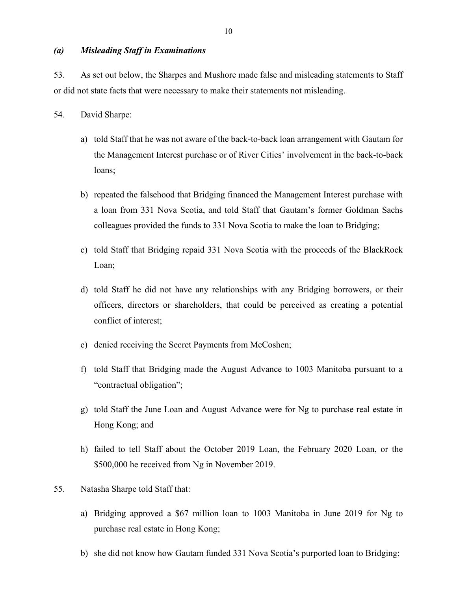### *(a) Misleading Staff in Examinations*

53. As set out below, the Sharpes and Mushore made false and misleading statements to Staff or did not state facts that were necessary to make their statements not misleading.

- 54. David Sharpe:
	- a) told Staff that he was not aware of the back-to-back loan arrangement with Gautam for the Management Interest purchase or of River Cities' involvement in the back-to-back loans;
	- b) repeated the falsehood that Bridging financed the Management Interest purchase with a loan from 331 Nova Scotia, and told Staff that Gautam's former Goldman Sachs colleagues provided the funds to 331 Nova Scotia to make the loan to Bridging;
	- c) told Staff that Bridging repaid 331 Nova Scotia with the proceeds of the BlackRock Loan;
	- d) told Staff he did not have any relationships with any Bridging borrowers, or their officers, directors or shareholders, that could be perceived as creating a potential conflict of interest;
	- e) denied receiving the Secret Payments from McCoshen;
	- f) told Staff that Bridging made the August Advance to 1003 Manitoba pursuant to a "contractual obligation";
	- g) told Staff the June Loan and August Advance were for Ng to purchase real estate in Hong Kong; and
	- h) failed to tell Staff about the October 2019 Loan, the February 2020 Loan, or the \$500,000 he received from Ng in November 2019.
- 55. Natasha Sharpe told Staff that:
	- a) Bridging approved a \$67 million loan to 1003 Manitoba in June 2019 for Ng to purchase real estate in Hong Kong;
	- b) she did not know how Gautam funded 331 Nova Scotia's purported loan to Bridging;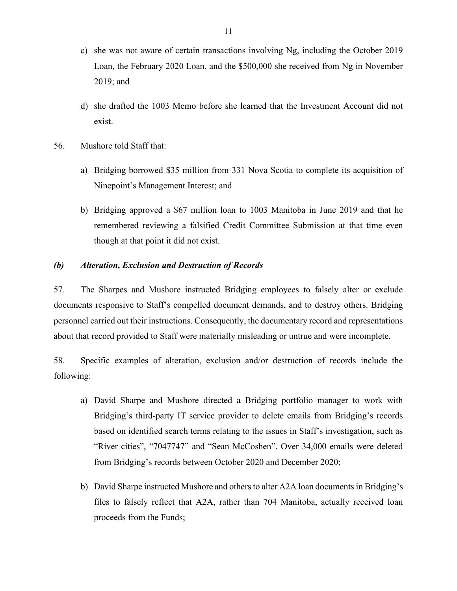- c) she was not aware of certain transactions involving Ng, including the October 2019 Loan, the February 2020 Loan, and the \$500,000 she received from Ng in November 2019; and
- d) she drafted the 1003 Memo before she learned that the Investment Account did not exist.
- 56. Mushore told Staff that:
	- a) Bridging borrowed \$35 million from 331 Nova Scotia to complete its acquisition of Ninepoint's Management Interest; and
	- b) Bridging approved a \$67 million loan to 1003 Manitoba in June 2019 and that he remembered reviewing a falsified Credit Committee Submission at that time even though at that point it did not exist.

#### *(b) Alteration, Exclusion and Destruction of Records*

57. The Sharpes and Mushore instructed Bridging employees to falsely alter or exclude documents responsive to Staff's compelled document demands, and to destroy others. Bridging personnel carried out their instructions. Consequently, the documentary record and representations about that record provided to Staff were materially misleading or untrue and were incomplete.

58. Specific examples of alteration, exclusion and/or destruction of records include the following:

- a) David Sharpe and Mushore directed a Bridging portfolio manager to work with Bridging's third-party IT service provider to delete emails from Bridging's records based on identified search terms relating to the issues in Staff's investigation, such as "River cities", "7047747" and "Sean McCoshen". Over 34,000 emails were deleted from Bridging's records between October 2020 and December 2020;
- b) David Sharpe instructed Mushore and others to alter A2A loan documents in Bridging's files to falsely reflect that A2A, rather than 704 Manitoba, actually received loan proceeds from the Funds;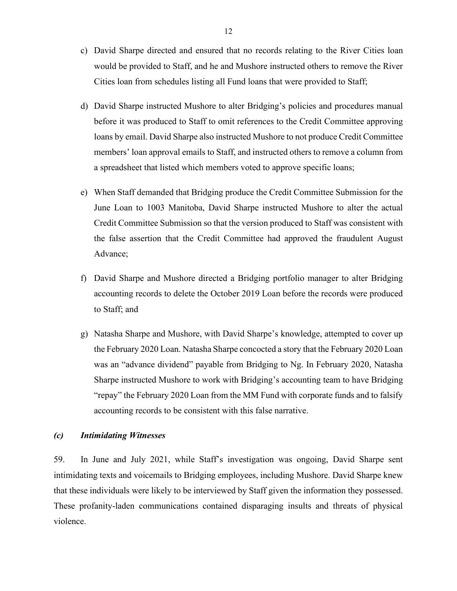- c) David Sharpe directed and ensured that no records relating to the River Cities loan would be provided to Staff, and he and Mushore instructed others to remove the River Cities loan from schedules listing all Fund loans that were provided to Staff;
- d) David Sharpe instructed Mushore to alter Bridging's policies and procedures manual before it was produced to Staff to omit references to the Credit Committee approving loans by email. David Sharpe also instructed Mushore to not produce Credit Committee members' loan approval emails to Staff, and instructed others to remove a column from a spreadsheet that listed which members voted to approve specific loans;
- e) When Staff demanded that Bridging produce the Credit Committee Submission for the June Loan to 1003 Manitoba, David Sharpe instructed Mushore to alter the actual Credit Committee Submission so that the version produced to Staff was consistent with the false assertion that the Credit Committee had approved the fraudulent August Advance;
- f) David Sharpe and Mushore directed a Bridging portfolio manager to alter Bridging accounting records to delete the October 2019 Loan before the records were produced to Staff; and
- g) Natasha Sharpe and Mushore, with David Sharpe's knowledge, attempted to cover up the February 2020 Loan. Natasha Sharpe concocted a story that the February 2020 Loan was an "advance dividend" payable from Bridging to Ng. In February 2020, Natasha Sharpe instructed Mushore to work with Bridging's accounting team to have Bridging "repay" the February 2020 Loan from the MM Fund with corporate funds and to falsify accounting records to be consistent with this false narrative.

### *(c) Intimidating Witnesses*

59. In June and July 2021, while Staff's investigation was ongoing, David Sharpe sent intimidating texts and voicemails to Bridging employees, including Mushore. David Sharpe knew that these individuals were likely to be interviewed by Staff given the information they possessed. These profanity-laden communications contained disparaging insults and threats of physical violence.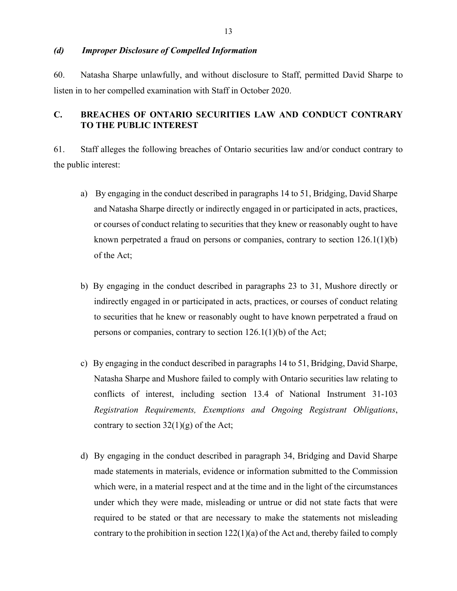### *(d) Improper Disclosure of Compelled Information*

60. Natasha Sharpe unlawfully, and without disclosure to Staff, permitted David Sharpe to listen in to her compelled examination with Staff in October 2020.

# **C. BREACHES OF ONTARIO SECURITIES LAW AND CONDUCT CONTRARY TO THE PUBLIC INTEREST**

61. Staff alleges the following breaches of Ontario securities law and/or conduct contrary to the public interest:

- a) By engaging in the conduct described in paragraphs 14 to 51, Bridging, David Sharpe and Natasha Sharpe directly or indirectly engaged in or participated in acts, practices, or courses of conduct relating to securities that they knew or reasonably ought to have known perpetrated a fraud on persons or companies, contrary to section  $126.1(1)(b)$ of the Act;
- b) By engaging in the conduct described in paragraphs 23 to 31, Mushore directly or indirectly engaged in or participated in acts, practices, or courses of conduct relating to securities that he knew or reasonably ought to have known perpetrated a fraud on persons or companies, contrary to section 126.1(1)(b) of the Act;
- c) By engaging in the conduct described in paragraphs 14 to 51, Bridging, David Sharpe, Natasha Sharpe and Mushore failed to comply with Ontario securities law relating to conflicts of interest, including section 13.4 of National Instrument 31-103 *Registration Requirements, Exemptions and Ongoing Registrant Obligations*, contrary to section  $32(1)(g)$  of the Act;
- d) By engaging in the conduct described in paragraph 34, Bridging and David Sharpe made statements in materials, evidence or information submitted to the Commission which were, in a material respect and at the time and in the light of the circumstances under which they were made, misleading or untrue or did not state facts that were required to be stated or that are necessary to make the statements not misleading contrary to the prohibition in section  $122(1)(a)$  of the Act and, thereby failed to comply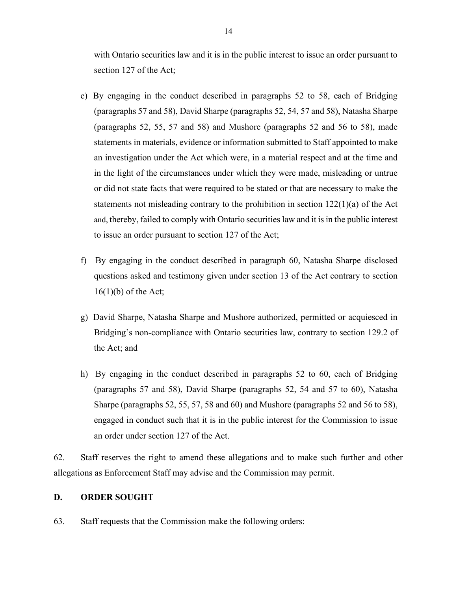with Ontario securities law and it is in the public interest to issue an order pursuant to section 127 of the Act;

- e) By engaging in the conduct described in paragraphs 52 to 58, each of Bridging (paragraphs 57 and 58), David Sharpe (paragraphs 52, 54, 57 and 58), Natasha Sharpe (paragraphs 52, 55, 57 and 58) and Mushore (paragraphs 52 and 56 to 58), made statements in materials, evidence or information submitted to Staff appointed to make an investigation under the Act which were, in a material respect and at the time and in the light of the circumstances under which they were made, misleading or untrue or did not state facts that were required to be stated or that are necessary to make the statements not misleading contrary to the prohibition in section  $122(1)(a)$  of the Act and, thereby, failed to comply with Ontario securities law and it is in the public interest to issue an order pursuant to section 127 of the Act;
- f) By engaging in the conduct described in paragraph 60, Natasha Sharpe disclosed questions asked and testimony given under section 13 of the Act contrary to section  $16(1)(b)$  of the Act;
- g) David Sharpe, Natasha Sharpe and Mushore authorized, permitted or acquiesced in Bridging's non-compliance with Ontario securities law, contrary to section 129.2 of the Act; and
- h) By engaging in the conduct described in paragraphs 52 to 60, each of Bridging (paragraphs 57 and 58), David Sharpe (paragraphs 52, 54 and 57 to 60), Natasha Sharpe (paragraphs 52, 55, 57, 58 and 60) and Mushore (paragraphs 52 and 56 to 58), engaged in conduct such that it is in the public interest for the Commission to issue an order under section 127 of the Act.

62. Staff reserves the right to amend these allegations and to make such further and other allegations as Enforcement Staff may advise and the Commission may permit.

### **D. ORDER SOUGHT**

63. Staff requests that the Commission make the following orders: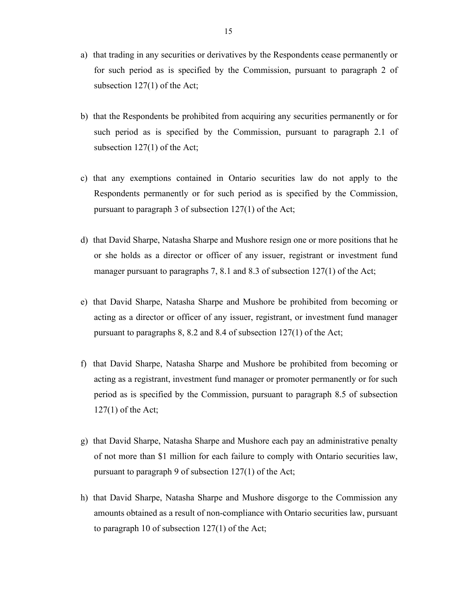- a) that trading in any securities or derivatives by the Respondents cease permanently or for such period as is specified by the Commission, pursuant to paragraph 2 of subsection 127(1) of the Act;
- b) that the Respondents be prohibited from acquiring any securities permanently or for such period as is specified by the Commission, pursuant to paragraph 2.1 of subsection 127(1) of the Act;
- c) that any exemptions contained in Ontario securities law do not apply to the Respondents permanently or for such period as is specified by the Commission, pursuant to paragraph 3 of subsection 127(1) of the Act;
- d) that David Sharpe, Natasha Sharpe and Mushore resign one or more positions that he or she holds as a director or officer of any issuer, registrant or investment fund manager pursuant to paragraphs 7, 8.1 and 8.3 of subsection 127(1) of the Act;
- e) that David Sharpe, Natasha Sharpe and Mushore be prohibited from becoming or acting as a director or officer of any issuer, registrant, or investment fund manager pursuant to paragraphs 8, 8.2 and 8.4 of subsection 127(1) of the Act;
- f) that David Sharpe, Natasha Sharpe and Mushore be prohibited from becoming or acting as a registrant, investment fund manager or promoter permanently or for such period as is specified by the Commission, pursuant to paragraph 8.5 of subsection 127(1) of the Act;
- g) that David Sharpe, Natasha Sharpe and Mushore each pay an administrative penalty of not more than \$1 million for each failure to comply with Ontario securities law, pursuant to paragraph 9 of subsection 127(1) of the Act;
- h) that David Sharpe, Natasha Sharpe and Mushore disgorge to the Commission any amounts obtained as a result of non-compliance with Ontario securities law, pursuant to paragraph 10 of subsection 127(1) of the Act;